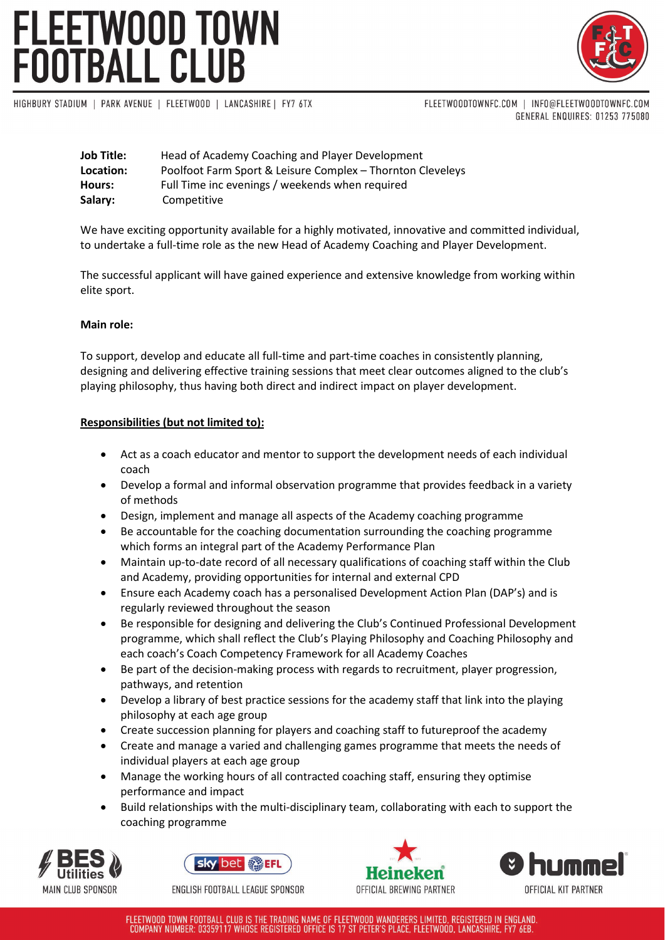# FLEETWOOD TOWN<br>FOOTBALL CLUB



HIGHBURY STADIUM | PARK AVENUE | FLEETWOOD | LANCASHIRE | FY7 6TX

FLEETWOODTOWNFC.COM | INFO@FLEETWOODTOWNFC.COM GENERAL ENQUIRES: 01253 775080

| Job Title: | Head of Academy Coaching and Player Development            |
|------------|------------------------------------------------------------|
| Location:  | Poolfoot Farm Sport & Leisure Complex - Thornton Cleveleys |
| Hours:     | Full Time inc evenings / weekends when required            |
| Salary:    | Competitive                                                |

We have exciting opportunity available for a highly motivated, innovative and committed individual, to undertake a full-time role as the new Head of Academy Coaching and Player Development.

The successful applicant will have gained experience and extensive knowledge from working within elite sport.

### **Main role:**

To support, develop and educate all full-time and part-time coaches in consistently planning, designing and delivering effective training sessions that meet clear outcomes aligned to the club's playing philosophy, thus having both direct and indirect impact on player development.

### **Responsibilities (but not limited to):**

- Act as a coach educator and mentor to support the development needs of each individual coach
- Develop a formal and informal observation programme that provides feedback in a variety of methods
- Design, implement and manage all aspects of the Academy coaching programme
- Be accountable for the coaching documentation surrounding the coaching programme which forms an integral part of the Academy Performance Plan
- Maintain up-to-date record of all necessary qualifications of coaching staff within the Club and Academy, providing opportunities for internal and external CPD
- Ensure each Academy coach has a personalised Development Action Plan (DAP's) and is regularly reviewed throughout the season
- Be responsible for designing and delivering the Club's Continued Professional Development programme, which shall reflect the Club's Playing Philosophy and Coaching Philosophy and each coach's Coach Competency Framework for all Academy Coaches
- Be part of the decision-making process with regards to recruitment, player progression, pathways, and retention
- Develop a library of best practice sessions for the academy staff that link into the playing philosophy at each age group
- Create succession planning for players and coaching staff to futureproof the academy
- Create and manage a varied and challenging games programme that meets the needs of individual players at each age group
- Manage the working hours of all contracted coaching staff, ensuring they optimise performance and impact
- Build relationships with the multi-disciplinary team, collaborating with each to support the coaching programme





ENGLISH FOOTBALL LEAGUE SPONSOR